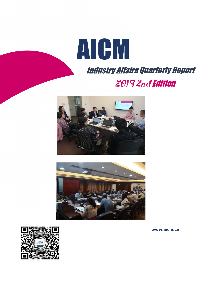





**www.aicm.cn**

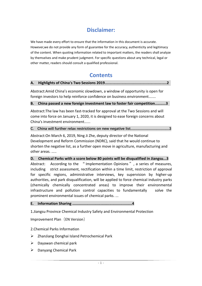# **Disclaimer:**

We have made every effort to ensure that the information in this document is accurate. However,we do not provide any form of guarantee for the accuracy, authenticity and legitimacy of the content. When quoting information related to important matters, the readers shall analyze by themselves and make prudent judgment. For specific questions about any technical, legal or other matter, readers should consult a qualified professional.

# **Contents**

### **A. Highlights of China's Two Sessions 2019.........................................................2**

Abstract:Amid China's economic slowdown, a window of opportunity is open for foreign investors to help reinforce confidence on business environment.......

**B. China passed a new foreign investment law to foster fair competition..........3**

Abstract:The law has been fast-tracked for approval at the Two Sessions and will come into force on January 1, 2020, it is designed to ease foreign concerns about China's investment environment......

## **C. China will further relax restrictions on new negative list...........................................3**

Abstract:On March 6, 2019, Ning Ji Zhe, deputy director of the National Development and Reform Commission(NDRC), said that he would continue to shorten the negative list, as a further open move in agriculture, manufacturing and other areas. .....

**D. Chemical Parks with a score below 80 points will be disqualified in Jiangsu...3** Abstract: According to the "Implementation Opinions", a series of measures, including strict assessment, rectification within a time limit, restriction of approval for specific regions, administrative interviews, key supervision by higher-up authorities, and park disqualification, will be applied to force chemical industry parks (chemically chemically concentrated areas) to improve their environmental infrastructure and pollution control capacities to fundamentally solve the prominent environmental issues of chemical parks. ...

# **E. Information Sharing .......................................................4**

1.Jiangsu Province Chemical Industry Safety and Environmental Protection

Improvement Plan (EN Version)

# 2.Chemical Parks Information

- ZhanJiang Donghai Island Petrochemical Park
- $\triangleright$  Dayawan chemical park
- $\triangleright$  Danyang Chemical Park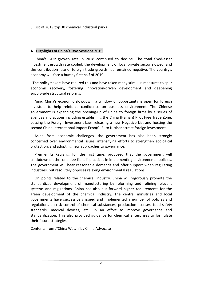3. List of 2019 top 30 chemical industrial parks

### **A. Highlights of China's Two Sessions 2019**

China's GDP growth rate in 2018 continued to decline. The total fixed-asset investment growth rate cooled, the development of local private sector slowed, and the contribution rate of foreign trade growth has remained negative. The country's economy will face a bumpy first half of 2019.

The policymakers have realized this and have taken many stimulus measures to spur economic recovery, fostering innovation-driven development and deepening supply-side structural reforms.

Amid China's economic slowdown, a window of opportunity is open for foreign investors to help reinforce confidence on business environment. The Chinese government is expanding the opening-up of China to foreign firms by a series of agendas and actions including establishing the China (Hainan) Pilot Free Trade Zone, passing the Foreign Investment Law, releasing a new Negative List and hosting the second China International Import Expo(CIIE) to further attract foreign investment.

Aside from economic challenges, the government has also been strongly concerned over environmental issues, intensifying efforts to strengthen ecological protection, and adopting new approaches to governance.<br>Premier Li Keqiang, for the first time, proposed that the government will

crackdown on the 'one-size-fits-all' practices in implementing environmental policies. The government will hear reasonable demands and offer support when regulating industries, but resolutely opposes relaxing environmental regulations.

On points related to the chemical industry, China will vigorously promote the standardized development of manufacturing by reforming and refining relevant systems and regulations. China has also put forward higher requirements for the green development of the chemical industry. The central ministries and local governments have successively issued and implemented a number of policies and regulations on risk control of chemical substances, production licenses, food safety standards, medical devices, etc., in an effort to improve governance and standardization. This also provided guidance for chemical enterprises to formulate their future strategies.

Contents from :"China Watch"by China Advocate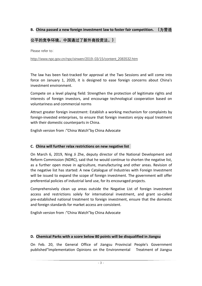## **B. China passed a new foreign investment law to foster fair competition. (为营造**

# **公平的竞争环境,中国通过了新外商投资法。)**

Please refer to:

[http://www.npc.gov.cn/npc/xinwen/2019-03/15/content\\_2083532.htm](http://www.npc.gov.cn/npc/xinwen/2019-03/15/content_2083532.htm)

The law has been fast-tracked for approval at the Two Sessions and will come into force on January 1, 2020, it is designed to ease foreign concerns about China's investment environment.

Compete on a level playing field: Strengthen the protection of legitimate rights and interests of foreign investors, and encourage technological cooperation based on voluntariness and commercial norms

Attract greater foreign investment: Establish a working mechanism for complaints by foreign-invested enterprises, to ensure that foreign investors enjoy equal treatment with their domestic counterparts in China.

English version from :"China Watch"by China Advocate

#### **C. China will further relax restrictions on new negative list**

On March 6, 2019, Ning Ji Zhe, deputy director of the National Development and Reform Commission(NDRC), said that he would continue to shorten the negative list, as a further open move in agriculture, manufacturing and other areas. Revision of the negative list has started: A new Catalogue of Industries with Foreign Investment will be issued to expand the scope of foreign investment. The government will offer preferential policies of industrial land use, for its encouraged projects.

Comprehensively clean up areas outside the Negative List of foreign investment access and restrictions solely for international investment, and grant so-called pre-established national treatment to foreign investment, ensure that the domestic

and foreign standards for market access are consistent.<br>English version from :"China Watch"by China Advocate

#### **D. Chemical Parks with a score below 80 points will be disqualified in Jiangsu**

On Feb. 20, the General Office of Jiangsu Provincial People's Government published"Implementation Opinions on the Environmental Treatment of Jiangsu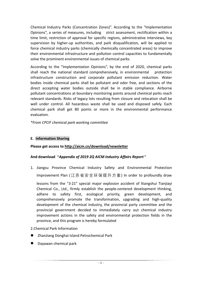Chemical Industry Parks (Concentration Zones)". According to the "Implementation Opinions", a series of measures, including strict assessment, rectification within a time limit, restriction of approval for specific regions, administrative interviews, key supervision by higher-up authorities, and park disqualification, will be applied to force chemical industry parks (chemically chemically concentrated areas) to improve their environmental infrastructure and pollution control capacities to fundamentally solve the prominent environmental issues of chemical parks.

According to the "Implementation Opinions", by the end of 2020, chemical parks shall reach the national standard comprehensively, in environmental protection infrastructure construction and corporate pollutant emission reduction. Water bodies inside chemical parks shall be pollutant and odor free, and sections of the direct accepting water bodies outside shall be in stable compliance. Airborne pollutant concentrations at boundary monitoring points around chemical parks reach relevant standards. Risks of legacy lots resulting from closure and relocation shall be well under control. All hazardous waste shall be used and disposed safely. Each chemical park shall get 80 points or more in the environmental performance evaluation.

*\*From CPCIF chemical park working committee*

## **E. Information Sharing**

## **Please get access to <http://aicm.cn/download/newsletter>**

## **And download "***Appendix of 2019 2Q AICM Industry Affairs Report***"**

1. Jiangsu Province Chemical Industry Safety and Environmental Protection Improvement Plan (江苏省安全环保提升方案) In order to profoundly draw

lessons from the "3·21" special major explosion accident of Xiangshui Tianjiayi Chemical Co., Ltd., firmly establish the people-centered development thinking, adhere to safety first, ecological priority, green development, and comprehensively promote the transformation, upgrading and high-quality development of the chemical industry, the provincial party committee and the provincial government decided to immediately carry out chemical industry improvement actions in the safety and environmental protection fields in the province, and this program is hereby formulated

#### 2.Chemical Park Information

- ZhanJiang Donghai Island Petrochemical Park
- Dayawan chemical park